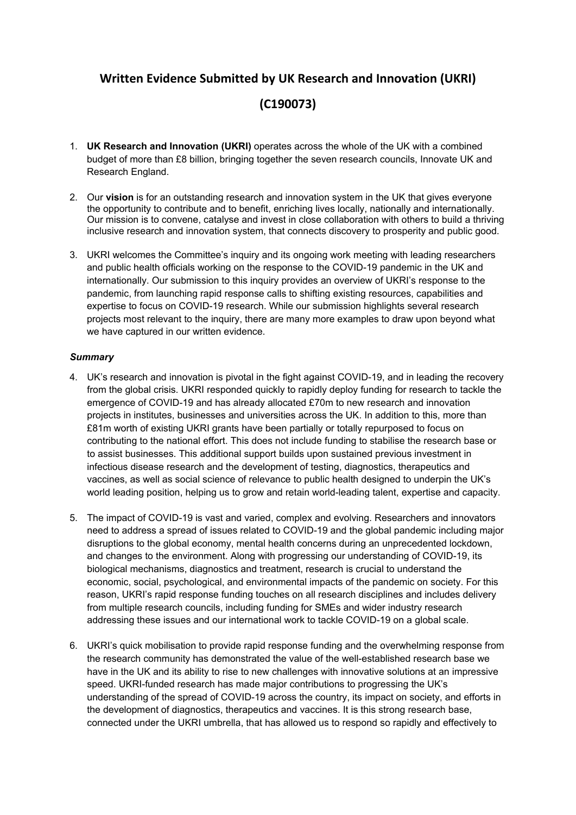# **Written Evidence Submitted by UK Research and Innovation (UKRI)**

# **(C190073)**

- 1. **UK Research and Innovation (UKRI)** operates across the whole of the UK with a combined budget of more than £8 billion, bringing together the seven research councils, Innovate UK and Research England.
- 2. Our **vision** is for an outstanding research and innovation system in the UK that gives everyone the opportunity to contribute and to benefit, enriching lives locally, nationally and internationally. Our mission is to convene, catalyse and invest in close collaboration with others to build a thriving inclusive research and innovation system, that connects discovery to prosperity and public good.
- 3. UKRI welcomes the Committee's inquiry and its ongoing work meeting with leading researchers and public health officials working on the response to the COVID-19 pandemic in the UK and internationally. Our submission to this inquiry provides an overview of UKRI's response to the pandemic, from launching rapid response calls to shifting existing resources, capabilities and expertise to focus on COVID-19 research. While our submission highlights several research projects most relevant to the inquiry, there are many more examples to draw upon beyond what we have captured in our written evidence.

# *Summary*

- 4. UK's research and innovation is pivotal in the fight against COVID-19, and in leading the recovery from the global crisis. UKRI responded quickly to rapidly deploy funding for research to tackle the emergence of COVID-19 and has already allocated £70m to new research and innovation projects in institutes, businesses and universities across the UK. In addition to this, more than £81m worth of existing UKRI grants have been partially or totally repurposed to focus on contributing to the national effort. This does not include funding to stabilise the research base or to assist businesses. This additional support builds upon sustained previous investment in infectious disease research and the development of testing, diagnostics, therapeutics and vaccines, as well as social science of relevance to public health designed to underpin the UK's world leading position, helping us to grow and retain world-leading talent, expertise and capacity.
- 5. The impact of COVID-19 is vast and varied, complex and evolving. Researchers and innovators need to address a spread of issues related to COVID-19 and the global pandemic including major disruptions to the global economy, mental health concerns during an unprecedented lockdown, and changes to the environment. Along with progressing our understanding of COVID-19, its biological mechanisms, diagnostics and treatment, research is crucial to understand the economic, social, psychological, and environmental impacts of the pandemic on society. For this reason, UKRI's rapid response funding touches on all research disciplines and includes delivery from multiple research councils, including funding for SMEs and wider industry research addressing these issues and our international work to tackle COVID-19 on a global scale.
- 6. UKRI's quick mobilisation to provide rapid response funding and the overwhelming response from the research community has demonstrated the value of the well-established research base we have in the UK and its ability to rise to new challenges with innovative solutions at an impressive speed. UKRI-funded research has made major contributions to progressing the UK's understanding of the spread of COVID-19 across the country, its impact on society, and efforts in the development of diagnostics, therapeutics and vaccines. It is this strong research base, connected under the UKRI umbrella, that has allowed us to respond so rapidly and effectively to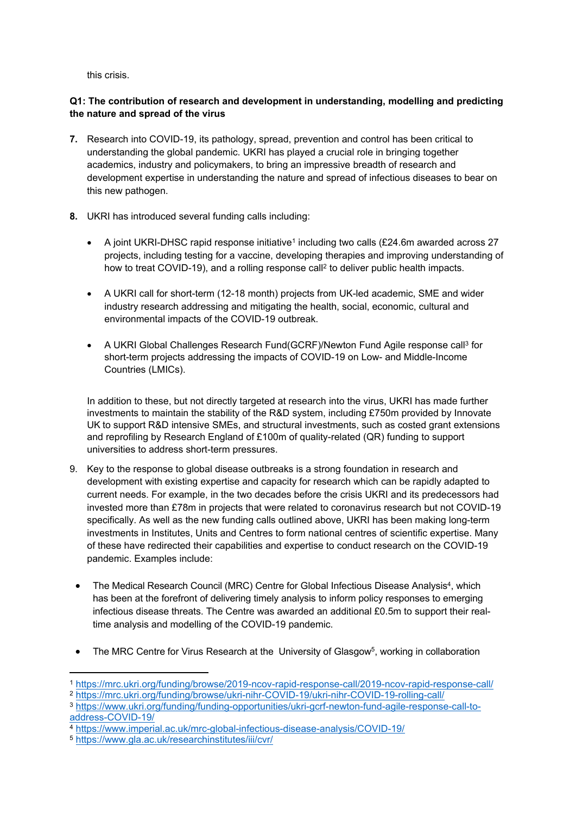this crisis.

# **Q1: The contribution of research and development in understanding, modelling and predicting the nature and spread of the virus**

- **7.** Research into COVID-19, its pathology, spread, prevention and control has been critical to understanding the global pandemic. UKRI has played a crucial role in bringing together academics, industry and policymakers, to bring an impressive breadth of research and development expertise in understanding the nature and spread of infectious diseases to bear on this new pathogen.
- **8.** UKRI has introduced several funding calls including:
	- A joint UKRI-DHSC rapid response initiative<sup>1</sup> including two calls  $(E24.6m$  awarded across 27 projects, including testing for a vaccine, developing therapies and improving understanding of how to treat COVID-19), and a rolling response call<sup>2</sup> to deliver public health impacts.
	- A UKRI call for short-term (12-18 month) projects from UK-led academic, SME and wider industry research addressing and mitigating the health, social, economic, cultural and environmental impacts of the COVID-19 outbreak.
	- A UKRI Global Challenges Research Fund(GCRF)/Newton Fund Agile response call<sup>3</sup> for short-term projects addressing the impacts of COVID-19 on Low- and Middle-Income Countries (LMICs).

In addition to these, but not directly targeted at research into the virus, UKRI has made further investments to maintain the stability of the R&D system, including £750m provided by Innovate UK to support R&D intensive SMEs, and structural investments, such as costed grant extensions and reprofiling by Research England of £100m of quality-related (QR) funding to support universities to address short-term pressures.

- 9. Key to the response to global disease outbreaks is a strong foundation in research and development with existing expertise and capacity for research which can be rapidly adapted to current needs. For example, in the two decades before the crisis UKRI and its predecessors had invested more than £78m in projects that were related to coronavirus research but not COVID-19 specifically. As well as the new funding calls outlined above, UKRI has been making long-term investments in Institutes, Units and Centres to form national centres of scientific expertise. Many of these have redirected their capabilities and expertise to conduct research on the COVID-19 pandemic. Examples include:
	- The Medical Research Council (MRC) Centre for Global Infectious Disease Analysis<sup>4</sup>, which has been at the forefront of delivering timely analysis to inform policy responses to emerging infectious disease threats. The Centre was awarded an additional £0.5m to support their realtime analysis and modelling of the COVID-19 pandemic.
- The MRC Centre for Virus Research at the University of Glasgow<sup>5</sup>, working in collaboration

<sup>1</sup> <https://mrc.ukri.org/funding/browse/2019-ncov-rapid-response-call/2019-ncov-rapid-response-call/>

<sup>2</sup> [https://mrc.ukri.org/funding/browse/ukri-nihr-COVID-19/ukri-nihr-COVID-19-rolling-call/](https://mrc.ukri.org/funding/browse/ukri-nihr-covid-19/ukri-nihr-covid-19-rolling-call/)

<sup>3</sup> [https://www.ukri.org/funding/funding-opportunities/ukri-gcrf-newton-fund-agile-response-call-to](https://www.ukri.org/funding/funding-opportunities/ukri-gcrf-newton-fund-agile-response-call-to-address-covid-19/)[address-COVID-19/](https://www.ukri.org/funding/funding-opportunities/ukri-gcrf-newton-fund-agile-response-call-to-address-covid-19/)

<sup>4</sup> [https://www.imperial.ac.uk/mrc-global-infectious-disease-analysis/COVID-19/](https://www.imperial.ac.uk/mrc-global-infectious-disease-analysis/covid-19/)

<sup>5</sup> <https://www.gla.ac.uk/researchinstitutes/iii/cvr/>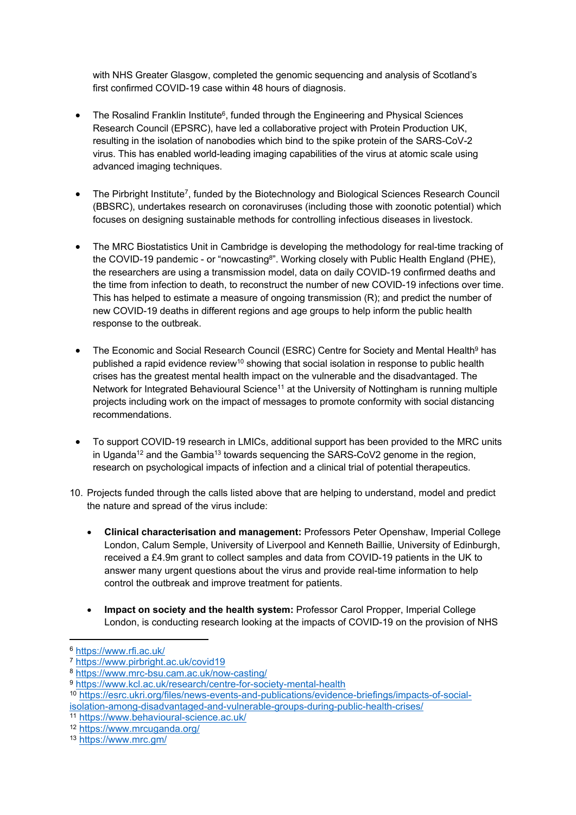with NHS Greater Glasgow, completed the genomic sequencing and analysis of Scotland's first confirmed COVID-19 case within 48 hours of diagnosis.

- The Rosalind Franklin Institute<sup>6</sup>, funded through the Engineering and Physical Sciences Research Council (EPSRC), have led a collaborative project with Protein Production UK, resulting in the isolation of nanobodies which bind to the spike protein of the SARS-CoV-2 virus. This has enabled world-leading imaging capabilities of the virus at atomic scale using advanced imaging techniques.
- The Pirbright Institute<sup>7</sup>, funded by the Biotechnology and Biological Sciences Research Council (BBSRC), undertakes research on coronaviruses (including those with zoonotic potential) which focuses on designing sustainable methods for controlling infectious diseases in livestock.
- The MRC Biostatistics Unit in Cambridge is developing the methodology for real-time tracking of the COVID-19 pandemic - or "nowcasting<sup>8</sup>". Working closely with Public Health England (PHE), the researchers are using a transmission model, data on daily COVID-19 confirmed deaths and the time from infection to death, to reconstruct the number of new COVID-19 infections over time. This has helped to estimate a measure of ongoing transmission (R); and predict the number of new COVID-19 deaths in different regions and age groups to help inform the public health response to the outbreak.
- The Economic and Social Research Council (ESRC) Centre for Society and Mental Health<sup>9</sup> has published a rapid evidence review<sup>10</sup> showing that social isolation in response to public health crises has the greatest mental health impact on the vulnerable and the disadvantaged. The Network for Integrated Behavioural Science<sup>11</sup> at the University of Nottingham is running multiple projects including work on the impact of messages to promote conformity with social distancing recommendations.
- To support COVID-19 research in LMICs, additional support has been provided to the MRC units in Uganda<sup>12</sup> and the Gambia<sup>13</sup> towards sequencing the SARS-CoV2 genome in the region, research on psychological impacts of infection and a clinical trial of potential therapeutics.
- 10. Projects funded through the calls listed above that are helping to understand, model and predict the nature and spread of the virus include:
	- **Clinical characterisation and management:** Professors Peter Openshaw, Imperial College London, Calum Semple, University of Liverpool and Kenneth Baillie, University of Edinburgh, received a £4.9m grant to collect samples and data from COVID-19 patients in the UK to answer many urgent questions about the virus and provide real-time information to help control the outbreak and improve treatment for patients.
	- **Impact on society and the health system:** Professor Carol Propper, Imperial College London, is conducting research looking at the impacts of COVID-19 on the provision of NHS

<sup>6</sup> <https://www.rfi.ac.uk/>

<sup>7</sup> <https://www.pirbright.ac.uk/covid19>

<sup>8</sup> <https://www.mrc-bsu.cam.ac.uk/now-casting/>

<sup>9</sup> <https://www.kcl.ac.uk/research/centre-for-society-mental-health>

<sup>10</sup> [https://esrc.ukri.org/files/news-events-and-publications/evidence-briefings/impacts-of-social](https://esrc.ukri.org/files/news-events-and-publications/evidence-briefings/impacts-of-social-isolation-among-disadvantaged-and-vulnerable-groups-during-public-health-crises/)[isolation-among-disadvantaged-and-vulnerable-groups-during-public-health-crises/](https://esrc.ukri.org/files/news-events-and-publications/evidence-briefings/impacts-of-social-isolation-among-disadvantaged-and-vulnerable-groups-during-public-health-crises/)

<sup>11</sup> <https://www.behavioural-science.ac.uk/>

<sup>12</sup> <https://www.mrcuganda.org/>

<sup>13</sup> <https://www.mrc.gm/>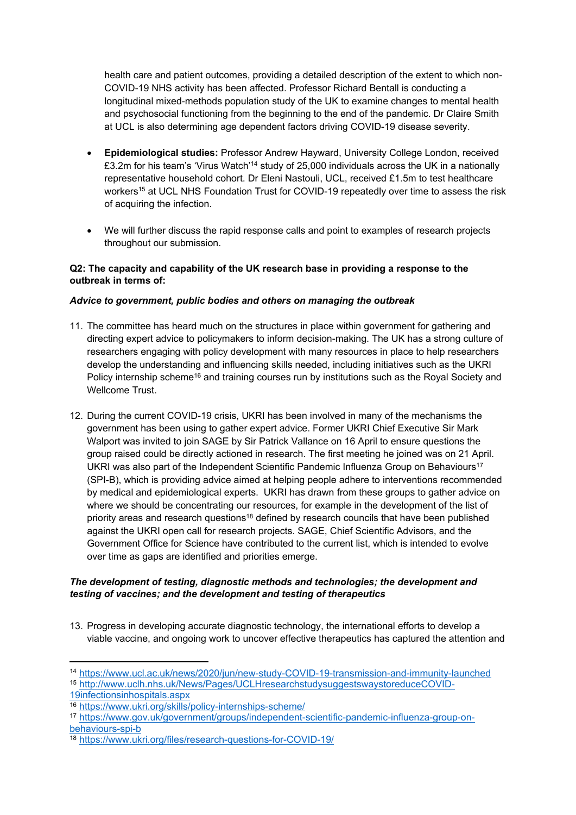health care and patient outcomes, providing a detailed description of the extent to which non-COVID-19 NHS activity has been affected. Professor Richard Bentall is conducting a longitudinal mixed-methods population study of the UK to examine changes to mental health and psychosocial functioning from the beginning to the end of the pandemic. Dr Claire Smith at UCL is also determining age dependent factors driving COVID-19 disease severity.

- **Epidemiological studies:** Professor Andrew Hayward, University College London, received £3.2m for his team's 'Virus Watch'<sup>14</sup> study of 25,000 individuals across the UK in a nationally representative household cohort. Dr Eleni Nastouli, UCL, received £1.5m to test healthcare workers<sup>15</sup> at UCL NHS Foundation Trust for COVID-19 repeatedly over time to assess the risk of acquiring the infection.
- We will further discuss the rapid response calls and point to examples of research projects throughout our submission.

#### **Q2: The capacity and capability of the UK research base in providing a response to the outbreak in terms of:**

# *Advice to government, public bodies and others on managing the outbreak*

- 11. The committee has heard much on the structures in place within government for gathering and directing expert advice to policymakers to inform decision-making. The UK has a strong culture of researchers engaging with policy development with many resources in place to help researchers develop the understanding and influencing skills needed, including initiatives such as the UKRI Policy internship scheme<sup>16</sup> and training courses run by institutions such as the Royal Society and Wellcome Trust.
- 12. During the current COVID-19 crisis, UKRI has been involved in many of the mechanisms the government has been using to gather expert advice. Former UKRI Chief Executive Sir Mark Walport was invited to join SAGE by Sir Patrick Vallance on 16 April to ensure questions the group raised could be directly actioned in research. The first meeting he joined was on 21 April. UKRI was also part of the Independent Scientific Pandemic Influenza Group on Behaviours<sup>17</sup> (SPI-B), which is providing advice aimed at helping people adhere to interventions recommended by medical and epidemiological experts. UKRI has drawn from these groups to gather advice on where we should be concentrating our resources, for example in the development of the list of priority areas and research questions<sup>18</sup> defined by research councils that have been published against the UKRI open call for research projects. SAGE, Chief Scientific Advisors, and the Government Office for Science have contributed to the current list, which is intended to evolve over time as gaps are identified and priorities emerge.

#### *The development of testing, diagnostic methods and technologies; the development and testing of vaccines; and the development and testing of therapeutics*

13. Progress in developing accurate diagnostic technology, the international efforts to develop a viable vaccine, and ongoing work to uncover effective therapeutics has captured the attention and

[19infectionsinhospitals.aspx](http://www.uclh.nhs.uk/News/Pages/UCLHresearchstudysuggestswaystoreduceCOVID-19infectionsinhospitals.aspx)

<sup>14</sup> [https://www.ucl.ac.uk/news/2020/jun/new-study-COVID-19-transmission-and-immunity-launched](https://www.ucl.ac.uk/news/2020/jun/new-study-covid-19-transmission-and-immunity-launched)

<sup>15</sup> [http://www.uclh.nhs.uk/News/Pages/UCLHresearchstudysuggestswaystoreduceCOVID-](http://www.uclh.nhs.uk/News/Pages/UCLHresearchstudysuggestswaystoreduceCOVID-19infectionsinhospitals.aspx)

<sup>16</sup> <https://www.ukri.org/skills/policy-internships-scheme/>

<sup>17</sup> [https://www.gov.uk/government/groups/independent-scientific-pandemic-influenza-group-on](https://www.gov.uk/government/groups/independent-scientific-pandemic-influenza-group-on-behaviours-spi-b)[behaviours-spi-b](https://www.gov.uk/government/groups/independent-scientific-pandemic-influenza-group-on-behaviours-spi-b)

<sup>18</sup> [https://www.ukri.org/files/research-questions-for-COVID-19/](https://www.ukri.org/files/research-questions-for-covid-19/)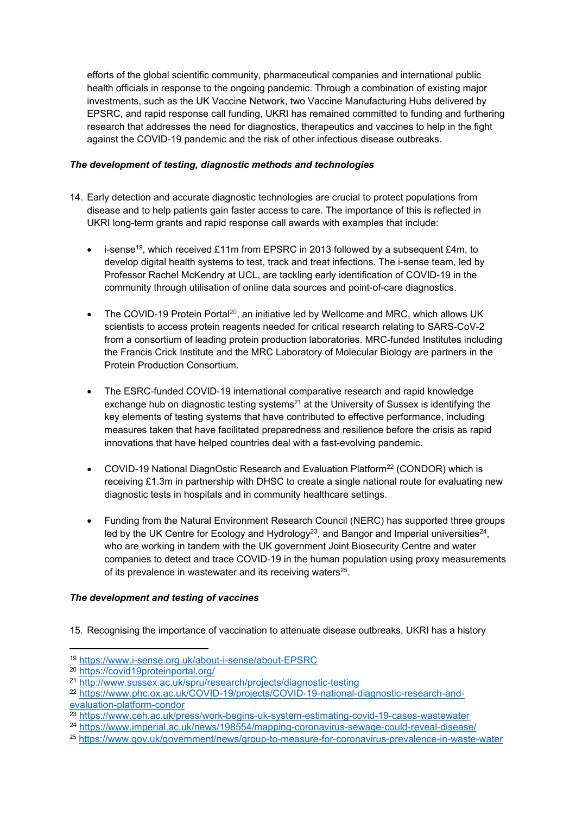efforts of the global scientific community, pharmaceutical companies and international public health officials in response to the ongoing pandemic. Through a combination of existing major investments, such as the UK Vaccine Network, two Vaccine Manufacturing Hubs delivered by EPSRC, and rapid response call funding, UKRI has remained committed to funding and furthering research that addresses the need for diagnostics, therapeutics and vaccines to help in the fight against the COVID-19 pandemic and the risk of other infectious disease outbreaks.

# *The development of testing, diagnostic methods and technologies*

- 14. Early detection and accurate diagnostic technologies are crucial to protect populations from disease and to help patients gain faster access to care. The importance of this is reflected in UKRI long-term grants and rapid response call awards with examples that include:
	- i-sense<sup>19</sup>, which received £11m from EPSRC in 2013 followed by a subsequent £4m, to develop digital health systems to test, track and treat infections. The i-sense team, led by Professor Rachel McKendry at UCL, are tackling early identification of COVID-19 in the community through utilisation of online data sources and point-of-care diagnostics.
	- The COVID-19 Protein Portal<sup>20</sup>, an initiative led by Wellcome and MRC, which allows UK scientists to access protein reagents needed for critical research relating to SARS-CoV-2 from a consortium of leading protein production laboratories. MRC-funded Institutes including the Francis Crick Institute and the MRC Laboratory of Molecular Biology are partners in the Protein Production Consortium.
	- The ESRC-funded COVID-19 international comparative research and rapid knowledge exchange hub on diagnostic testing systems<sup>21</sup> at the University of Sussex is identifying the key elements of testing systems that have contributed to effective performance, including measures taken that have facilitated preparedness and resilience before the crisis as rapid innovations that have helped countries deal with a fast-evolving pandemic.
	- COVID-19 National DiagnOstic Research and Evaluation Platform<sup>22</sup> (CONDOR) which is receiving £1.3m in partnership with DHSC to create a single national route for evaluating new diagnostic tests in hospitals and in community healthcare settings.
	- Funding from the Natural Environment Research Council (NERC) has supported three groups led by the UK Centre for Ecology and Hydrology<sup>23</sup>, and Bangor and Imperial universities<sup>24</sup>, who are working in tandem with the UK government Joint Biosecurity Centre and water companies to detect and trace COVID-19 in the human population using proxy measurements of its prevalence in wastewater and its receiving waters<sup>25</sup>.

# *The development and testing of vaccines*

15. Recognising the importance of vaccination to attenuate disease outbreaks, UKRI has a history

<sup>19</sup> <https://www.i-sense.org.uk/about-i-sense/about-EPSRC>

<sup>20</sup> <https://covid19proteinportal.org/>

<sup>21</sup> <http://www.sussex.ac.uk/spru/research/projects/diagnostic-testing>

<sup>22</sup> [https://www.phc.ox.ac.uk/COVID-19/projects/COVID-19-national-diagnostic-research-and](https://www.phc.ox.ac.uk/covid-19/projects/covid-19-national-diagnostic-research-and-evaluation-platform-condor)[evaluation-platform-condor](https://www.phc.ox.ac.uk/covid-19/projects/covid-19-national-diagnostic-research-and-evaluation-platform-condor)

<sup>23</sup> <https://www.ceh.ac.uk/press/work-begins-uk-system-estimating-covid-19-cases-wastewater>

<sup>24</sup> <https://www.imperial.ac.uk/news/198554/mapping-coronavirus-sewage-could-reveal-disease/>

<sup>25</sup> <https://www.gov.uk/government/news/group-to-measure-for-coronavirus-prevalence-in-waste-water>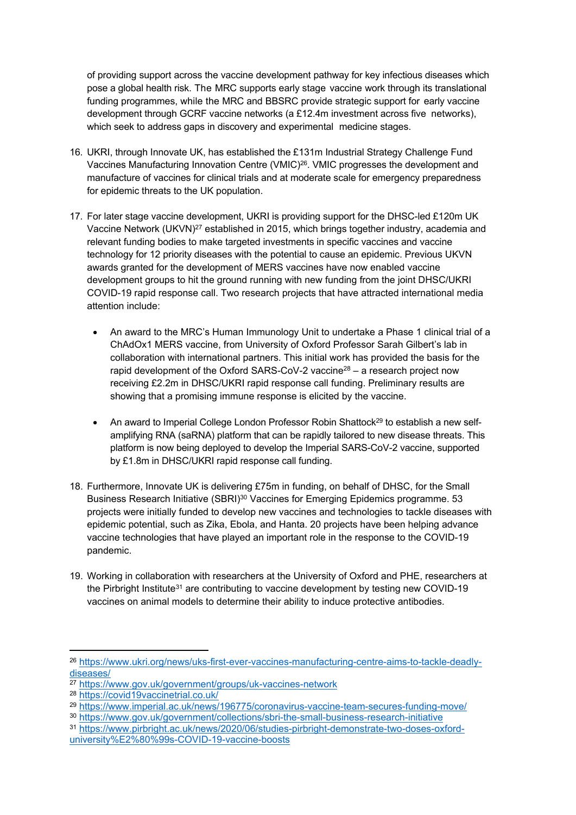of providing support across the vaccine development pathway for key infectious diseases which pose a global health risk. The MRC supports early stage vaccine work through its translational funding programmes, while the MRC and BBSRC provide strategic support for early vaccine development through GCRF vaccine networks (a £12.4m investment across five networks), which seek to address gaps in discovery and experimental medicine stages.

- 16. UKRI, through Innovate UK, has established the £131m Industrial Strategy Challenge Fund Vaccines Manufacturing Innovation Centre (VMIC)<sup>26</sup>. VMIC progresses the development and manufacture of vaccines for clinical trials and at moderate scale for emergency preparedness for epidemic threats to the UK population.
- 17. For later stage vaccine development, UKRI is providing support for the DHSC-led £120m UK Vaccine Network (UKVN)<sup>27</sup> established in 2015, which brings together industry, academia and relevant funding bodies to make targeted investments in specific vaccines and vaccine technology for 12 priority diseases with the potential to cause an epidemic. Previous UKVN awards granted for the development of MERS vaccines have now enabled vaccine development groups to hit the ground running with new funding from the joint DHSC/UKRI COVID-19 rapid response call. Two research projects that have attracted international media attention include:
	- An award to the MRC's Human Immunology Unit to undertake a Phase 1 clinical trial of a ChAdOx1 MERS vaccine, from University of Oxford Professor Sarah Gilbert's lab in collaboration with international partners. This initial work has provided the basis for the rapid development of the Oxford SARS-CoV-2 vaccine<sup>28</sup> – a research project now receiving £2.2m in DHSC/UKRI rapid response call funding. Preliminary results are showing that a promising immune response is elicited by the vaccine.
	- An award to Imperial College London Professor Robin Shattock<sup>29</sup> to establish a new selfamplifying RNA (saRNA) platform that can be rapidly tailored to new disease threats. This platform is now being deployed to develop the Imperial SARS-CoV-2 vaccine, supported by £1.8m in DHSC/UKRI rapid response call funding.
- 18. Furthermore, Innovate UK is delivering £75m in funding, on behalf of DHSC, for the Small Business Research Initiative (SBRI)<sup>30</sup> Vaccines for Emerging Epidemics programme. 53 projects were initially funded to develop new vaccines and technologies to tackle diseases with epidemic potential, such as Zika, Ebola, and Hanta. 20 projects have been helping advance vaccine technologies that have played an important role in the response to the COVID-19 pandemic.
- 19. Working in collaboration with researchers at the University of Oxford and PHE, researchers at the Pirbright Institute<sup>31</sup> are contributing to vaccine development by testing new COVID-19 vaccines on animal models to determine their ability to induce protective antibodies.

<sup>26</sup> [https://www.ukri.org/news/uks-first-ever-vaccines-manufacturing-centre-aims-to-tackle-deadly](https://www.ukri.org/news/uks-first-ever-vaccines-manufacturing-centre-aims-to-tackle-deadly-diseases/)[diseases/](https://www.ukri.org/news/uks-first-ever-vaccines-manufacturing-centre-aims-to-tackle-deadly-diseases/)

<sup>27</sup> <https://www.gov.uk/government/groups/uk-vaccines-network>

<sup>28</sup> <https://covid19vaccinetrial.co.uk/>

<sup>29</sup> <https://www.imperial.ac.uk/news/196775/coronavirus-vaccine-team-secures-funding-move/>

<sup>30</sup> <https://www.gov.uk/government/collections/sbri-the-small-business-research-initiative>

<sup>31</sup> [https://www.pirbright.ac.uk/news/2020/06/studies-pirbright-demonstrate-two-doses-oxford](https://www.pirbright.ac.uk/news/2020/06/studies-pirbright-demonstrate-two-doses-oxford-university%E2%80%99s-covid-19-vaccine-boosts)[university%E2%80%99s-COVID-19-vaccine-boosts](https://www.pirbright.ac.uk/news/2020/06/studies-pirbright-demonstrate-two-doses-oxford-university%E2%80%99s-covid-19-vaccine-boosts)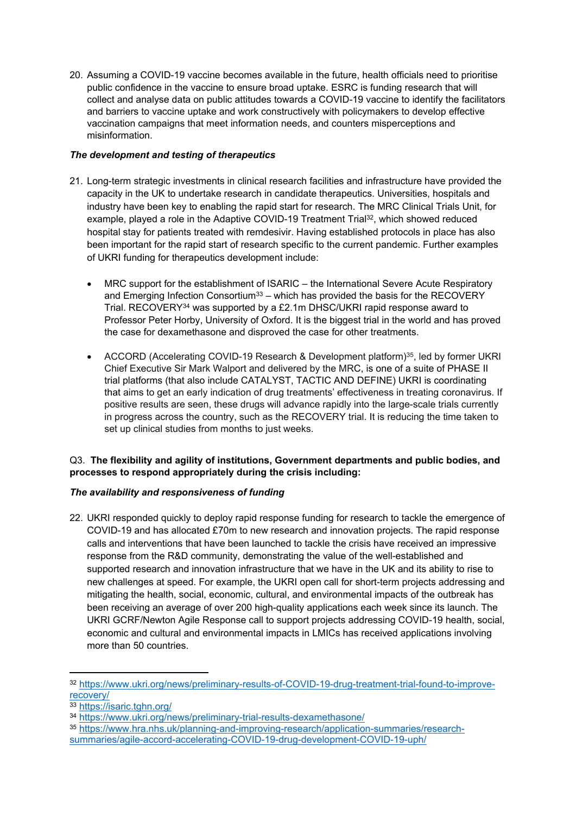20. Assuming a COVID-19 vaccine becomes available in the future, health officials need to prioritise public confidence in the vaccine to ensure broad uptake. ESRC is funding research that will collect and analyse data on public attitudes towards a COVID-19 vaccine to identify the facilitators and barriers to vaccine uptake and work constructively with policymakers to develop effective vaccination campaigns that meet information needs, and counters misperceptions and misinformation.

# *The development and testing of therapeutics*

- 21. Long-term strategic investments in clinical research facilities and infrastructure have provided the capacity in the UK to undertake research in candidate therapeutics. Universities, hospitals and industry have been key to enabling the rapid start for research. The MRC Clinical Trials Unit, for example, played a role in the Adaptive COVID-19 Treatment Trial<sup>32</sup>, which showed reduced hospital stay for patients treated with remdesivir. Having established protocols in place has also been important for the rapid start of research specific to the current pandemic. Further examples of UKRI funding for therapeutics development include:
	- MRC support for the establishment of ISARIC the International Severe Acute Respiratory and Emerging Infection Consortium<sup>33</sup> – which has provided the basis for the RECOVERY Trial. RECOVERY<sup>34</sup> was supported by a £2.1m DHSC/UKRI rapid response award to Professor Peter Horby, University of Oxford. It is the biggest trial in the world and has proved the case for dexamethasone and disproved the case for other treatments.
	- ACCORD (Accelerating COVID-19 Research & Development platform)<sup>35</sup>, led by former UKRI Chief Executive Sir Mark Walport and delivered by the MRC, is one of a suite of PHASE II trial platforms (that also include CATALYST, TACTIC AND DEFINE) UKRI is coordinating that aims to get an early indication of drug treatments' effectiveness in treating coronavirus. If positive results are seen, these drugs will advance rapidly into the large-scale trials currently in progress across the country, such as the RECOVERY trial. It is reducing the time taken to set up clinical studies from months to just weeks.

# Q3. **The flexibility and agility of institutions, Government departments and public bodies, and processes to respond appropriately during the crisis including:**

# *The availability and responsiveness of funding*

22. UKRI responded quickly to deploy rapid response funding for research to tackle the emergence of COVID-19 and has allocated £70m to new research and innovation projects. The rapid response calls and interventions that have been launched to tackle the crisis have received an impressive response from the R&D community, demonstrating the value of the well-established and supported research and innovation infrastructure that we have in the UK and its ability to rise to new challenges at speed. For example, the UKRI open call for short-term projects addressing and mitigating the health, social, economic, cultural, and environmental impacts of the outbreak has been receiving an average of over 200 high-quality applications each week since its launch. The UKRI GCRF/Newton Agile Response call to support projects addressing COVID-19 health, social, economic and cultural and environmental impacts in LMICs has received applications involving more than 50 countries.

<sup>32</sup> [https://www.ukri.org/news/preliminary-results-of-COVID-19-drug-treatment-trial-found-to-improve](https://www.ukri.org/news/preliminary-results-of-covid-19-drug-treatment-trial-found-to-improve-recovery/)[recovery/](https://www.ukri.org/news/preliminary-results-of-covid-19-drug-treatment-trial-found-to-improve-recovery/)

<sup>33</sup> <https://isaric.tghn.org/>

<sup>34</sup> <https://www.ukri.org/news/preliminary-trial-results-dexamethasone/>

<sup>35</sup> [https://www.hra.nhs.uk/planning-and-improving-research/application-summaries/research](https://www.hra.nhs.uk/planning-and-improving-research/application-summaries/research-summaries/agile-accord-accelerating-covid-19-drug-development-covid-19-uph/)[summaries/agile-accord-accelerating-COVID-19-drug-development-COVID-19-uph/](https://www.hra.nhs.uk/planning-and-improving-research/application-summaries/research-summaries/agile-accord-accelerating-covid-19-drug-development-covid-19-uph/)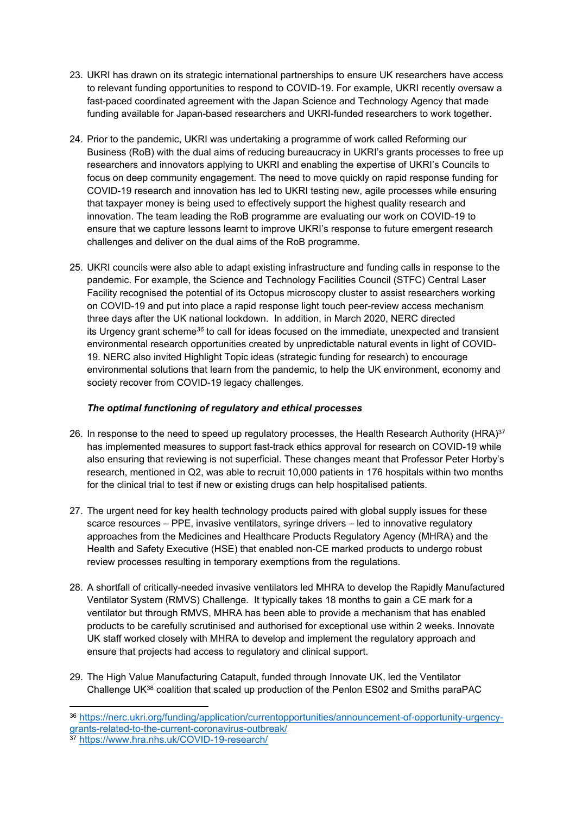- 23. UKRI has drawn on its strategic international partnerships to ensure UK researchers have access to relevant funding opportunities to respond to COVID-19. For example, UKRI recently oversaw a fast-paced coordinated agreement with the Japan Science and Technology Agency that made funding available for Japan-based researchers and UKRI-funded researchers to work together.
- 24. Prior to the pandemic, UKRI was undertaking a programme of work called Reforming our Business (RoB) with the dual aims of reducing bureaucracy in UKRI's grants processes to free up researchers and innovators applying to UKRI and enabling the expertise of UKRI's Councils to focus on deep community engagement. The need to move quickly on rapid response funding for COVID-19 research and innovation has led to UKRI testing new, agile processes while ensuring that taxpayer money is being used to effectively support the highest quality research and innovation. The team leading the RoB programme are evaluating our work on COVID-19 to ensure that we capture lessons learnt to improve UKRI's response to future emergent research challenges and deliver on the dual aims of the RoB programme.
- 25. UKRI councils were also able to adapt existing infrastructure and funding calls in response to the pandemic. For example, the Science and Technology Facilities Council (STFC) Central Laser Facility recognised the potential of its Octopus microscopy cluster to assist researchers working on COVID-19 and put into place a rapid response light touch peer-review access mechanism three days after the UK national lockdown. In addition, in March 2020, NERC directed its Urgency grant scheme*<sup>36</sup>* to call for ideas focused on the immediate, unexpected and transient environmental research opportunities created by unpredictable natural events in light of COVID-19. NERC also invited Highlight Topic ideas (strategic funding for research) to encourage environmental solutions that learn from the pandemic, to help the UK environment, economy and society recover from COVID-19 legacy challenges.

# *The optimal functioning of regulatory and ethical processes*

- 26. In response to the need to speed up regulatory processes, the Health Research Authority (HRA)<sup>37</sup> has implemented measures to support fast-track ethics approval for research on COVID-19 while also ensuring that reviewing is not superficial. These changes meant that Professor Peter Horby's research, mentioned in Q2, was able to recruit 10,000 patients in 176 hospitals within two months for the clinical trial to test if new or existing drugs can help hospitalised patients.
- 27. The urgent need for key health technology products paired with global supply issues for these scarce resources – PPE, invasive ventilators, syringe drivers – led to innovative regulatory approaches from the Medicines and Healthcare Products Regulatory Agency (MHRA) and the Health and Safety Executive (HSE) that enabled non-CE marked products to undergo robust review processes resulting in temporary exemptions from the regulations.
- 28. A shortfall of critically-needed invasive ventilators led MHRA to develop the Rapidly Manufactured Ventilator System (RMVS) Challenge. It typically takes 18 months to gain a CE mark for a ventilator but through RMVS, MHRA has been able to provide a mechanism that has enabled products to be carefully scrutinised and authorised for exceptional use within 2 weeks. Innovate UK staff worked closely with MHRA to develop and implement the regulatory approach and ensure that projects had access to regulatory and clinical support.
- 29. The High Value Manufacturing Catapult, funded through Innovate UK, led the Ventilator Challenge UK<sup>38</sup> coalition that scaled up production of the Penlon ES02 and Smiths paraPAC
- <sup>36</sup> [https://nerc.ukri.org/funding/application/currentopportunities/announcement-of-opportunity-urgency](https://nerc.ukri.org/funding/application/currentopportunities/announcement-of-opportunity-urgency-grants-related-to-the-current-coronavirus-outbreak/)[grants-related-to-the-current-coronavirus-outbreak/](https://nerc.ukri.org/funding/application/currentopportunities/announcement-of-opportunity-urgency-grants-related-to-the-current-coronavirus-outbreak/)

<sup>37</sup> [https://www.hra.nhs.uk/COVID-19-research/](https://www.hra.nhs.uk/covid-19-research/)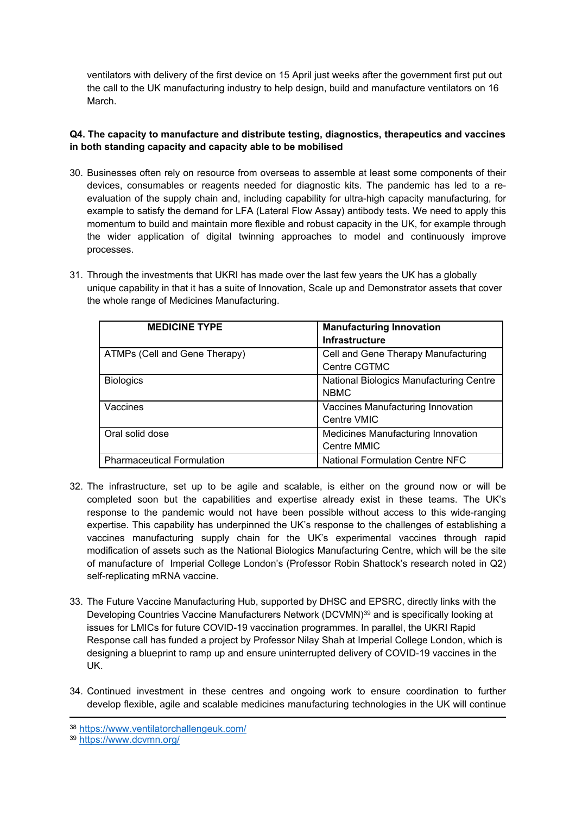ventilators with delivery of the first device on 15 April just weeks after the government first put out the call to the UK manufacturing industry to help design, build and manufacture ventilators on 16 March.

#### **Q4. The capacity to manufacture and distribute testing, diagnostics, therapeutics and vaccines in both standing capacity and capacity able to be mobilised**

- 30. Businesses often rely on resource from overseas to assemble at least some components of their devices, consumables or reagents needed for diagnostic kits. The pandemic has led to a reevaluation of the supply chain and, including capability for ultra-high capacity manufacturing, for example to satisfy the demand for LFA (Lateral Flow Assay) antibody tests. We need to apply this momentum to build and maintain more flexible and robust capacity in the UK, for example through the wider application of digital twinning approaches to model and continuously improve processes.
- 31. Through the investments that UKRI has made over the last few years the UK has a globally unique capability in that it has a suite of Innovation, Scale up and Demonstrator assets that cover the whole range of Medicines Manufacturing.

| <b>MEDICINE TYPE</b>              | <b>Manufacturing Innovation</b>         |
|-----------------------------------|-----------------------------------------|
|                                   | <b>Infrastructure</b>                   |
| ATMPs (Cell and Gene Therapy)     | Cell and Gene Therapy Manufacturing     |
|                                   | Centre CGTMC                            |
| <b>Biologics</b>                  | National Biologics Manufacturing Centre |
|                                   | <b>NBMC</b>                             |
| Vaccines                          | Vaccines Manufacturing Innovation       |
|                                   | Centre VMIC                             |
| Oral solid dose                   | Medicines Manufacturing Innovation      |
|                                   | Centre MMIC                             |
| <b>Pharmaceutical Formulation</b> | <b>National Formulation Centre NFC</b>  |

- 32. The infrastructure, set up to be agile and scalable, is either on the ground now or will be completed soon but the capabilities and expertise already exist in these teams. The UK's response to the pandemic would not have been possible without access to this wide-ranging expertise. This capability has underpinned the UK's response to the challenges of establishing a vaccines manufacturing supply chain for the UK's experimental vaccines through rapid modification of assets such as the National Biologics Manufacturing Centre, which will be the site of manufacture of Imperial College London's (Professor Robin Shattock's research noted in Q2) self-replicating mRNA vaccine.
- 33. The Future Vaccine Manufacturing Hub, supported by DHSC and EPSRC, directly links with the Developing Countries Vaccine Manufacturers Network (DCVMN)<sup>39</sup> and is specifically looking at issues for LMICs for future COVID-19 vaccination programmes. In parallel, the UKRI Rapid Response call has funded a project by Professor Nilay Shah at Imperial College London, which is designing a blueprint to ramp up and ensure uninterrupted delivery of COVID-19 vaccines in the UK.
- 34. Continued investment in these centres and ongoing work to ensure coordination to further develop flexible, agile and scalable medicines manufacturing technologies in the UK will continue

<sup>38</sup> <https://www.ventilatorchallengeuk.com/>

<sup>39</sup> <https://www.dcvmn.org/>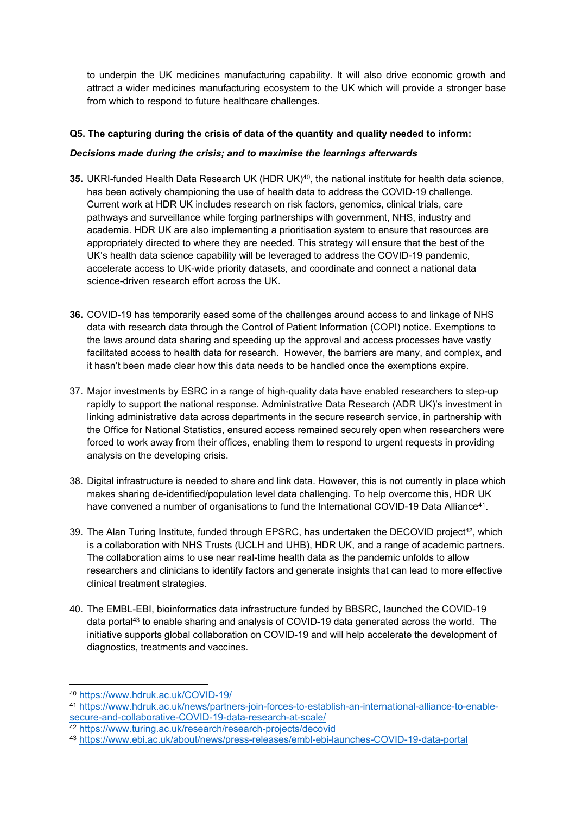to underpin the UK medicines manufacturing capability. It will also drive economic growth and attract a wider medicines manufacturing ecosystem to the UK which will provide a stronger base from which to respond to future healthcare challenges.

# **Q5. The capturing during the crisis of data of the quantity and quality needed to inform:**

# *Decisions made during the crisis; and to maximise the learnings afterwards*

- **35.** UKRI-funded Health Data Research UK (HDR UK)<sup>40</sup>, the national institute for health data science, has been actively championing the use of health data to address the COVID-19 challenge. Current work at HDR UK includes research on risk factors, genomics, clinical trials, care pathways and surveillance while forging partnerships with government, NHS, industry and academia. HDR UK are also implementing a prioritisation system to ensure that resources are appropriately directed to where they are needed. This strategy will ensure that the best of the UK's health data science capability will be leveraged to address the COVID-19 pandemic, accelerate access to UK-wide priority datasets, and coordinate and connect a national data science-driven research effort across the UK.
- **36.** COVID-19 has temporarily eased some of the challenges around access to and linkage of NHS data with research data through the Control of Patient Information (COPI) notice. Exemptions to the laws around data sharing and speeding up the approval and access processes have vastly facilitated access to health data for research. However, the barriers are many, and complex, and it hasn't been made clear how this data needs to be handled once the exemptions expire.
- 37. Major investments by ESRC in a range of high-quality data have enabled researchers to step-up rapidly to support the national response. Administrative Data Research (ADR UK)'s investment in linking administrative data across departments in the secure research service, in partnership with the Office for National Statistics, ensured access remained securely open when researchers were forced to work away from their offices, enabling them to respond to urgent requests in providing analysis on the developing crisis.
- 38. Digital infrastructure is needed to share and link data. However, this is not currently in place which makes sharing de-identified/population level data challenging. To help overcome this, HDR UK have convened a number of organisations to fund the International COVID-19 Data Alliance<sup>41</sup>.
- 39. The Alan Turing Institute, funded through EPSRC, has undertaken the DECOVID project<sup>42</sup>, which is a collaboration with NHS Trusts (UCLH and UHB), HDR UK, and a range of academic partners. The collaboration aims to use near real-time health data as the pandemic unfolds to allow researchers and clinicians to identify factors and generate insights that can lead to more effective clinical treatment strategies.
- 40. The EMBL-EBI, bioinformatics data infrastructure funded by BBSRC, launched the COVID-19 data portal<sup>43</sup> to enable sharing and analysis of COVID-19 data generated across the world. The initiative supports global collaboration on COVID-19 and will help accelerate the development of diagnostics, treatments and vaccines.

<sup>40</sup> [https://www.hdruk.ac.uk/COVID-19/](https://www.hdruk.ac.uk/covid-19/)

<sup>41</sup> [https://www.hdruk.ac.uk/news/partners-join-forces-to-establish-an-international-alliance-to-enable](https://www.hdruk.ac.uk/news/partners-join-forces-to-establish-an-international-alliance-to-enable-secure-and-collaborative-covid-19-data-research-at-scale/)[secure-and-collaborative-COVID-19-data-research-at-scale/](https://www.hdruk.ac.uk/news/partners-join-forces-to-establish-an-international-alliance-to-enable-secure-and-collaborative-covid-19-data-research-at-scale/)

<sup>42</sup> <https://www.turing.ac.uk/research/research-projects/decovid>

<sup>43</sup> [https://www.ebi.ac.uk/about/news/press-releases/embl-ebi-launches-COVID-19-data-portal](https://www.ebi.ac.uk/about/news/press-releases/embl-ebi-launches-covid-19-data-portal)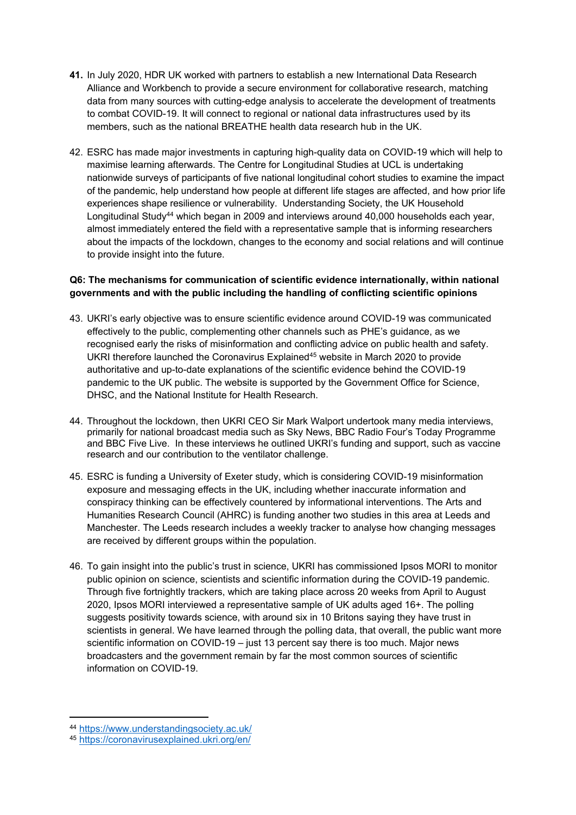- **41.** In July 2020, HDR UK worked with partners to establish a new International Data Research Alliance and Workbench to provide a secure environment for collaborative research, matching data from many sources with cutting-edge analysis to accelerate the development of treatments to combat COVID-19. It will connect to regional or national data infrastructures used by its members, such as the national BREATHE health data research hub in the UK.
- 42. ESRC has made major investments in capturing high-quality data on COVID-19 which will help to maximise learning afterwards. The Centre for Longitudinal Studies at UCL is undertaking nationwide surveys of participants of five national longitudinal cohort studies to examine the impact of the pandemic, help understand how people at different life stages are affected, and how prior life experiences shape resilience or vulnerability. Understanding Society, the UK Household Longitudinal Study<sup>44</sup> which began in 2009 and interviews around 40,000 households each year, almost immediately entered the field with a representative sample that is informing researchers about the impacts of the lockdown, changes to the economy and social relations and will continue to provide insight into the future.

# **Q6: The mechanisms for communication of scientific evidence internationally, within national governments and with the public including the handling of conflicting scientific opinions**

- 43. UKRI's early objective was to ensure scientific evidence around COVID-19 was communicated effectively to the public, complementing other channels such as PHE's guidance, as we recognised early the risks of misinformation and conflicting advice on public health and safety. UKRI therefore launched the Coronavirus Explained<sup>45</sup> website in March 2020 to provide authoritative and up-to-date explanations of the scientific evidence behind the COVID-19 pandemic to the UK public. The website is supported by the Government Office for Science, DHSC, and the National Institute for Health Research.
- 44. Throughout the lockdown, then UKRI CEO Sir Mark Walport undertook many media interviews, primarily for national broadcast media such as Sky News, BBC Radio Four's Today Programme and BBC Five Live. In these interviews he outlined UKRI's funding and support, such as vaccine research and our contribution to the ventilator challenge.
- 45. ESRC is funding a University of Exeter study, which is considering COVID-19 misinformation exposure and messaging effects in the UK, including whether inaccurate information and conspiracy thinking can be effectively countered by informational interventions. The Arts and Humanities Research Council (AHRC) is funding another two studies in this area at Leeds and Manchester. The Leeds research includes a weekly tracker to analyse how changing messages are received by different groups within the population.
- 46. To gain insight into the public's trust in science, UKRI has commissioned Ipsos MORI to monitor public opinion on science, scientists and scientific information during the COVID-19 pandemic. Through five fortnightly trackers, which are taking place across 20 weeks from April to August 2020, Ipsos MORI interviewed a representative sample of UK adults aged 16+. The polling suggests positivity towards science, with around six in 10 Britons saying they have trust in scientists in general. We have learned through the polling data, that overall, the public want more scientific information on COVID-19 – just 13 percent say there is too much. Major news broadcasters and the government remain by far the most common sources of scientific information on COVID-19.

<sup>44</sup> <https://www.understandingsociety.ac.uk/>

<sup>45</sup> <https://coronavirusexplained.ukri.org/en/>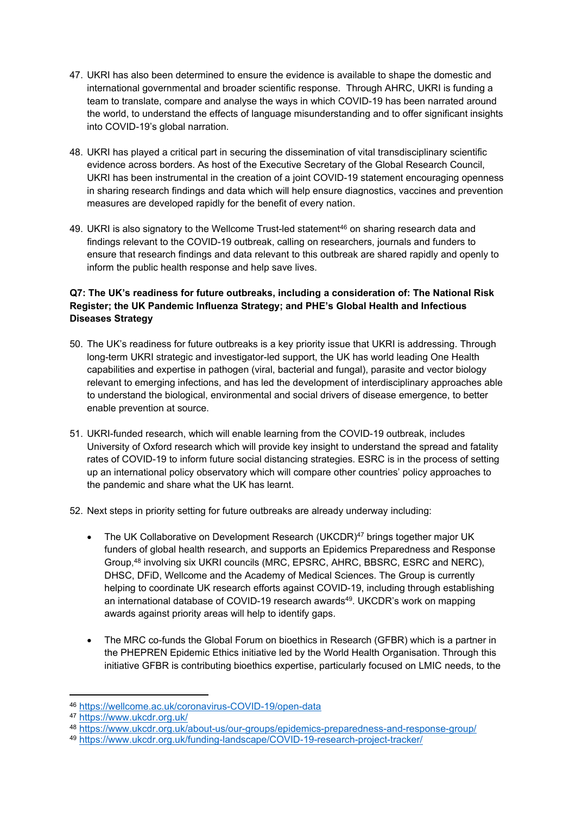- 47. UKRI has also been determined to ensure the evidence is available to shape the domestic and international governmental and broader scientific response. Through AHRC, UKRI is funding a team to translate, compare and analyse the ways in which COVID-19 has been narrated around the world, to understand the effects of language misunderstanding and to offer significant insights into COVID-19's global narration.
- 48. UKRI has played a critical part in securing the dissemination of vital transdisciplinary scientific evidence across borders. As host of the Executive Secretary of the Global Research Council, UKRI has been instrumental in the creation of a joint COVID-19 statement encouraging openness in sharing research findings and data which will help ensure diagnostics, vaccines and prevention measures are developed rapidly for the benefit of every nation.
- 49. UKRI is also signatory to the Wellcome Trust-led statement<sup>46</sup> on sharing research data and findings relevant to the COVID-19 outbreak, calling on researchers, journals and funders to ensure that research findings and data relevant to this outbreak are shared rapidly and openly to inform the public health response and help save lives.

# **Q7: The UK's readiness for future outbreaks, including a consideration of: The National Risk Register; the UK Pandemic Influenza Strategy; and PHE's Global Health and Infectious Diseases Strategy**

- 50. The UK's readiness for future outbreaks is a key priority issue that UKRI is addressing. Through long-term UKRI strategic and investigator-led support, the UK has world leading One Health capabilities and expertise in pathogen (viral, bacterial and fungal), parasite and vector biology relevant to emerging infections, and has led the development of interdisciplinary approaches able to understand the biological, environmental and social drivers of disease emergence, to better enable prevention at source.
- 51. UKRI-funded research, which will enable learning from the COVID-19 outbreak, includes University of Oxford research which will provide key insight to understand the spread and fatality rates of COVID-19 to inform future social distancing strategies. ESRC is in the process of setting up an international policy observatory which will compare other countries' policy approaches to the pandemic and share what the UK has learnt.
- 52. Next steps in priority setting for future outbreaks are already underway including:
	- The UK Collaborative on Development Research (UKCDR)<sup>47</sup> brings together major UK funders of global health research, and supports an Epidemics Preparedness and Response Group, <sup>48</sup> involving six UKRI councils (MRC, EPSRC, AHRC, BBSRC, ESRC and NERC), DHSC, DFiD, Wellcome and the Academy of Medical Sciences. The Group is currently helping to coordinate UK research efforts against COVID-19, including through establishing an international database of COVID-19 research awards<sup>49</sup>. UKCDR's work on mapping awards against priority areas will help to identify gaps.
	- The MRC co-funds the Global Forum on bioethics in Research (GFBR) which is a partner in the PHEPREN Epidemic Ethics initiative led by the World Health Organisation. Through this initiative GFBR is contributing bioethics expertise, particularly focused on LMIC needs, to the

<sup>46</sup> [https://wellcome.ac.uk/coronavirus-COVID-19/open-data](https://wellcome.ac.uk/coronavirus-covid-19/open-data)

<sup>47</sup> <https://www.ukcdr.org.uk/>

<sup>48</sup> <https://www.ukcdr.org.uk/about-us/our-groups/epidemics-preparedness-and-response-group/>

<sup>49</sup> [https://www.ukcdr.org.uk/funding-landscape/COVID-19-research-project-tracker/](https://www.ukcdr.org.uk/funding-landscape/covid-19-research-project-tracker/)